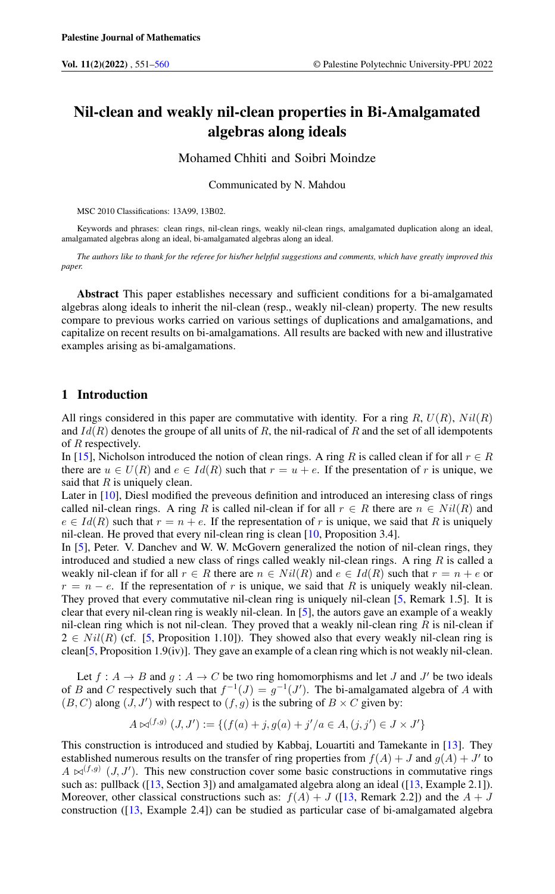# Nil-clean and weakly nil-clean properties in Bi-Amalgamated algebras along ideals

# Mohamed Chhiti and Soibri Moindze

Communicated by N. Mahdou

MSC 2010 Classifications: 13A99, 13B02.

Keywords and phrases: clean rings, nil-clean rings, weakly nil-clean rings, amalgamated duplication along an ideal, amalgamated algebras along an ideal, bi-amalgamated algebras along an ideal.

*The authors like to thank for the referee for his/her helpful suggestions and comments, which have greatly improved this paper.*

Abstract This paper establishes necessary and sufficient conditions for a bi-amalgamated algebras along ideals to inherit the nil-clean (resp., weakly nil-clean) property. The new results compare to previous works carried on various settings of duplications and amalgamations, and capitalize on recent results on bi-amalgamations. All results are backed with new and illustrative examples arising as bi-amalgamations.

#### 1 Introduction

All rings considered in this paper are commutative with identity. For a ring R,  $U(R)$ ,  $Nil(R)$ and  $Id(R)$  denotes the groupe of all units of R, the nil-radical of R and the set of all idempotents of R respectively.

In [\[15\]](#page-9-1), Nicholson introduced the notion of clean rings. A ring R is called clean if for all  $r \in R$ there are  $u \in U(R)$  and  $e \in Id(R)$  such that  $r = u + e$ . If the presentation of r is unique, we said that  $R$  is uniquely clean.

Later in [\[10\]](#page-9-2), Diesl modified the preveous definition and introduced an interesing class of rings called nil-clean rings. A ring R is called nil-clean if for all  $r \in R$  there are  $n \in Nil(R)$  and  $e \in Id(R)$  such that  $r = n + e$ . If the representation of r is unique, we said that R is uniquely nil-clean. He proved that every nil-clean ring is clean [\[10,](#page-9-2) Proposition 3.4].

In [\[5\]](#page-9-3), Peter. V. Danchev and W. W. McGovern generalized the notion of nil-clean rings, they introduced and studied a new class of rings called weakly nil-clean rings. A ring  $R$  is called a weakly nil-clean if for all  $r \in R$  there are  $n \in Nil(R)$  and  $e \in Id(R)$  such that  $r = n + e$  or  $r = n - e$ . If the representation of r is unique, we said that R is uniquely weakly nil-clean. They proved that every commutative nil-clean ring is uniquely nil-clean [\[5,](#page-9-3) Remark 1.5]. It is clear that every nil-clean ring is weakly nil-clean. In [\[5\]](#page-9-3), the autors gave an example of a weakly nil-clean ring which is not nil-clean. They proved that a weakly nil-clean ring  $R$  is nil-clean if  $2 \in Nil(R)$  (cf. [\[5,](#page-9-3) Proposition 1.10]). They showed also that every weakly nil-clean ring is clean[\[5,](#page-9-3) Proposition 1.9(iv)]. They gave an example of a clean ring which is not weakly nil-clean.

Let  $f : A \to B$  and  $g : A \to C$  be two ring homomorphisms and let J and J' be two ideals of B and C respectively such that  $f^{-1}(J) = g^{-1}(J')$ . The bi-amalgamated algebra of A with  $(B, C)$  along  $(J, J')$  with respect to  $(f, g)$  is the subring of  $B \times C$  given by:

$$
A \bowtie^{(f,g)} (J, J') := \{ (f(a) + j, g(a) + j'/a \in A, (j, j') \in J \times J' \}
$$

This construction is introduced and studied by Kabbaj, Louartiti and Tamekante in [\[13\]](#page-9-4). They established numerous results on the transfer of ring properties from  $f(A) + J$  and  $g(A) + J'$  to  $A \bowtie^{(f,g)} (J, J')$ . This new construction cover some basic constructions in commutative rings such as: pullback ([\[13,](#page-9-4) Section 3]) and amalgamated algebra along an ideal ([13, Example 2.1]). Moreover, other classical constructions such as:  $f(A) + J$  ([\[13,](#page-9-4) Remark 2.2]) and the  $A + J$ construction ([\[13,](#page-9-4) Example 2.4]) can be studied as particular case of bi-amalgamated algebra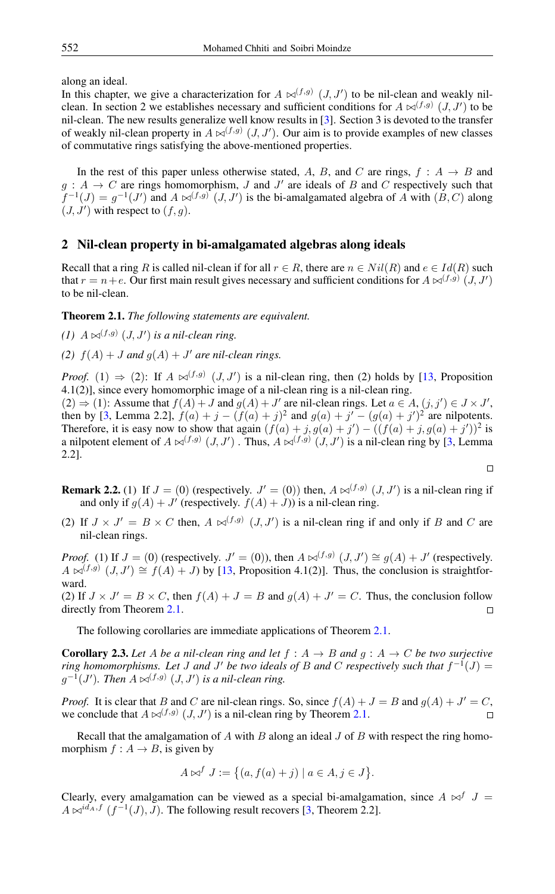along an ideal.

In this chapter, we give a characterization for  $A \bowtie^{(f,g)} (J, J')$  to be nil-clean and weakly nilclean. In section 2 we establishes necessary and sufficient conditions for  $A \bowtie^{(f,g)} (J, J')$  to be nil-clean. The new results generalize well know results in [\[3\]](#page-9-5). Section 3 is devoted to the transfer of weakly nil-clean property in  $A \bowtie^{(f,g)} (J, J')$ . Our aim is to provide examples of new classes of commutative rings satisfying the above-mentioned properties.

In the rest of this paper unless otherwise stated, A, B, and C are rings,  $f : A \rightarrow B$  and  $g: A \to C$  are rings homomorphism, J and J' are ideals of B and C respectively such that  $f^{-1}(J) = g^{-1}(J')$  and  $A \bowtie^{(f,g)} (J, J')$  is the bi-amalgamated algebra of A with  $(B, C)$  along  $(J, J')$  with respect to  $(f, g)$ .

### 2 Nil-clean property in bi-amalgamated algebras along ideals

Recall that a ring R is called nil-clean if for all  $r \in R$ , there are  $n \in Nil(R)$  and  $e \in Id(R)$  such that  $r = n + e$ . Our first main result gives necessary and sufficient conditions for  $A \bowtie^{(f,g)} (J, J')$ to be nil-clean.

<span id="page-1-0"></span>Theorem 2.1. *The following statements are equivalent.*

- $(1)$   $A \Join^{(f,g)} (J, J')$  *is a nil-clean ring.*
- (2)  $f(A) + J$  *and*  $g(A) + J'$  *are nil-clean rings.*

*Proof.* (1)  $\Rightarrow$  (2): If  $A \Join^{(f,g)} (J, J')$  is a nil-clean ring, then (2) holds by [\[13,](#page-9-4) Proposition 4.1(2)], since every homomorphic image of a nil-clean ring is a nil-clean ring.

 $(2) \Rightarrow (1)$ : Assume that  $f(A) + J$  and  $g(A) + J'$  are nil-clean rings. Let  $a \in A$ ,  $(j, j') \in J \times J'$ , then by [\[3,](#page-9-5) Lemma 2.2],  $f(a) + j - (f(a) + j)^2$  and  $g(a) + j' - (g(a) + j')^2$  are nilpotents. Therefore, it is easy now to show that again  $(f(a) + j, g(a) + j') - ((f(a) + j, g(a) + j'))^2$  is a nilpotent element of  $A \bowtie^{(f,g)} (J, J')$ . Thus,  $A \bowtie^{(f,g)} (J, J')$  is a nil-clean ring by [\[3,](#page-9-5) Lemma 2.2].  $\Box$ 

**Remark 2.2.** (1) If  $J = (0)$  (respectively.  $J' = (0)$ ) then,  $A \bowtie^{(f,g)} (J, J')$  is a nil-clean ring if and only if  $g(A) + J'$  (respectively.  $f(A) + J$ )) is a nil-clean ring.

(2) If  $J \times J' = B \times C$  then,  $A \bowtie^{(f,g)} (J, J')$  is a nil-clean ring if and only if B and C are nil-clean rings.

*Proof.* (1) If  $J = (0)$  (respectively.  $J' = (0)$ ), then  $A \bowtie^{(f,g)} (J, J') \cong g(A) + J'$  (respectively.  $A \bowtie^{(f,g)} (J, J') \cong f(A) + J$  by [\[13,](#page-9-4) Proposition 4.1(2)]. Thus, the conclusion is straightforward.

(2) If  $J \times J' = B \times C$ , then  $f(A) + J = B$  and  $g(A) + J' = C$ . Thus, the conclusion follow directly from Theorem [2.1.](#page-1-0)  $\Box$ 

The following corollaries are immediate applications of Theorem [2.1.](#page-1-0)

<span id="page-1-1"></span>**Corollary 2.3.** Let A be a nil-clean ring and let  $f : A \rightarrow B$  and  $g : A \rightarrow C$  be two surjective *ring homomorphisms. Let J* and *J'* be two ideals of *B* and *C* respectively such that  $f^{-1}(J)$  =  $g^{-1}(J')$ . Then  $A \Join^{(f,g)} (J, J')$  is a nil-clean ring.

*Proof.* It is clear that B and C are nil-clean rings. So, since  $f(A) + J = B$  and  $g(A) + J' = C$ , we conclude that  $A \bowtie^{(f,g)} (J, J')$  is a nil-clean ring by Theorem [2.1.](#page-1-0)

Recall that the amalgamation of  $A$  with  $B$  along an ideal  $J$  of  $B$  with respect the ring homomorphism  $f : A \rightarrow B$ , is given by

$$
A \bowtie^f J := \{ (a, f(a) + j) \mid a \in A, j \in J \}.
$$

Clearly, every amalgamation can be viewed as a special bi-amalgamation, since  $A \bowtie^{f} J =$  $A \bowtie^{id_A, f} (f^{-1}(J), J)$ . The following result recovers [\[3,](#page-9-5) Theorem 2.2].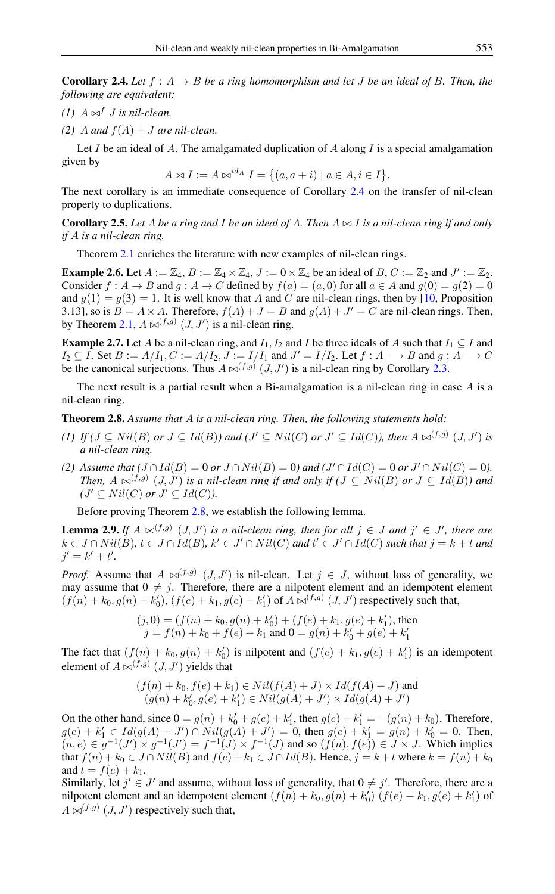<span id="page-2-0"></span>**Corollary 2.4.** Let  $f : A \rightarrow B$  be a ring homomorphism and let J be an ideal of B. Then, the *following are equivalent:*

- *(1)*  $A \bowtie^f J$  *is nil-clean.*
- *(2)* A and  $f(A) + J$  are nil-clean.

Let I be an ideal of A. The amalgamated duplication of A along I is a special amalgamation given by

 $A \bowtie I := A \bowtie^{id_A} I = \{(a, a + i) \mid a \in A, i \in I\}.$ 

The next corollary is an immediate consequence of Corollary [2.4](#page-2-0) on the transfer of nil-clean property to duplications.

<span id="page-2-3"></span>**Corollary 2.5.** Let A be a ring and I be an ideal of A. Then  $A \bowtie I$  is a nil-clean ring if and only *if* A *is a nil-clean ring.*

Theorem [2.1](#page-1-0) enriches the literature with new examples of nil-clean rings.

**Example 2.6.** Let  $A := \mathbb{Z}_4$ ,  $B := \mathbb{Z}_4 \times \mathbb{Z}_4$ ,  $J := 0 \times \mathbb{Z}_4$  be an ideal of  $B$ ,  $C := \mathbb{Z}_2$  and  $J' := \mathbb{Z}_2$ . Consider  $f : A \to B$  and  $g : A \to C$  defined by  $f(a) = (a, 0)$  for all  $a \in A$  and  $g(0) = g(2) = 0$ and  $g(1) = g(3) = 1$ . It is well know that A and C are nil-clean rings, then by [\[10,](#page-9-2) Proposition 3.13], so is  $B = A \times A$ . Therefore,  $f(A) + J = B$  and  $g(A) + J' = C$  are nil-clean rings. Then, by Theorem [2.1,](#page-1-0)  $A \bowtie^{(f,g)} (J, J')$  is a nil-clean ring.

**Example 2.7.** Let A be a nil-clean ring, and  $I_1, I_2$  and I be three ideals of A such that  $I_1 \subseteq I$  and  $I_2 \subseteq I$ . Set  $B := A/I_1, C := A/I_2, J := I/I_1$  and  $J' = I/I_2$ . Let  $f : A \longrightarrow B$  and  $g : A \longrightarrow C$ be the canonical surjections. Thus  $A \bowtie^{(f,g)} (J, J')$  is a nil-clean ring by Corollary [2.3.](#page-1-1)

The next result is a partial result when a Bi-amalgamation is a nil-clean ring in case  $\vec{A}$  is a nil-clean ring.

<span id="page-2-1"></span>Theorem 2.8. *Assume that* A *is a nil-clean ring. Then, the following statements hold:*

- *(1) If*  $(J \subseteq Nil(B)$  *or*  $J \subseteq Id(B)$ *)* and  $(J' \subseteq Nil(C)$  *or*  $J' \subseteq Id(C)$ *), then*  $A \bowtie^{(f,g)} (J, J')$  *is a nil-clean ring.*
- *(2) Assume that*  $(J ∩ Id(B) = 0$  *or*  $J ∩ Nil(B) = 0)$  *and*  $(J' ∩ Id(C) = 0$  *or*  $J' ∩ Nil(C) = 0)$ . *Then,*  $A \Join^{(f,g)} (J, J')$  is a nil-clean ring if and only if ( $J \subseteq Nil(B)$  or  $J \subseteq Id(B)$ ) and  $(J' \subseteq Nil(C)$  *or*  $J' \subseteq Id(C)$ *)*.

Before proving Theorem [2.8,](#page-2-1) we establish the following lemma.

<span id="page-2-2"></span>**Lemma 2.9.** If  $A \bowtie^{(f,g)} (J, J')$  is a nil-clean ring, then for all  $j \in J$  and  $j' \in J'$ , there are  $k \in J \cap Nil(B), t \in J \cap Id(B), k' \in J' \cap Nil(C)$  and  $t' \in J' \cap Id(C)$  such that  $j = k + t$  and  $j' = k' + t'.$ 

*Proof.* Assume that  $A \bowtie^{(f,g)} (J, J')$  is nil-clean. Let  $j \in J$ , without loss of generality, we may assume that  $0 \neq j$ . Therefore, there are a nilpotent element and an idempotent element  $(f(n) + k_0, g(n) + k'_0), (f(e) + k_1, g(e) + k'_1)$  of  $A \bowtie^{(f,g)} (J, J')$  respectively such that,

$$
(j,0) = (f(n) + k_0, g(n) + k'_0) + (f(e) + k_1, g(e) + k'_1),
$$
 then  

$$
j = f(n) + k_0 + f(e) + k_1
$$
 and 
$$
0 = g(n) + k'_0 + g(e) + k'_1
$$

The fact that  $(f(n) + k_0, g(n) + k'_0)$  is nilpotent and  $(f(e) + k_1, g(e) + k'_1)$  is an idempotent element of  $A \bowtie^{(f,g)} (J, J')$  yields that

$$
(f(n) + k_0, f(e) + k_1) \in Nil(f(A) + J) \times Id(f(A) + J)
$$
 and  
\n $(g(n) + k'_0, g(e) + k'_1) \in Nil(g(A) + J') \times Id(g(A) + J')$ 

On the other hand, since  $0 = g(n) + k'_0 + g(e) + k'_1$ , then  $g(e) + k'_1 = -(g(n) + k_0)$ . Therefore,  $g(e) + k'_1 \in Id(g(A) + J') \cap Nil(g(A) + J') = 0$ , then  $g(e) + k'_1 = g(n) + k'_0 = 0$ . Then,  $(n, e) \in g^{-1}(J') \times g^{-1}(J') = f^{-1}(J) \times f^{-1}(J)$  and so  $(f(n), f(e)) \in J \times J$ . Which implies that  $f(n) + k_0 \in J \cap Nil(B)$  and  $f(e) + k_1 \in J \cap Id(B)$ . Hence,  $j = k + t$  where  $k = f(n) + k_0$ and  $t = f(e) + k_1$ .

Similarly, let  $j' \in J'$  and assume, without loss of generality, that  $0 \neq j'$ . Therefore, there are a nilpotent element and an idempotent element  $(f(n) + k_0, g(n) + k'_0)$   $(f(e) + k_1, g(e) + k'_1)$  of  $A \bowtie^{(f,g)} (J, J')$  respectively such that,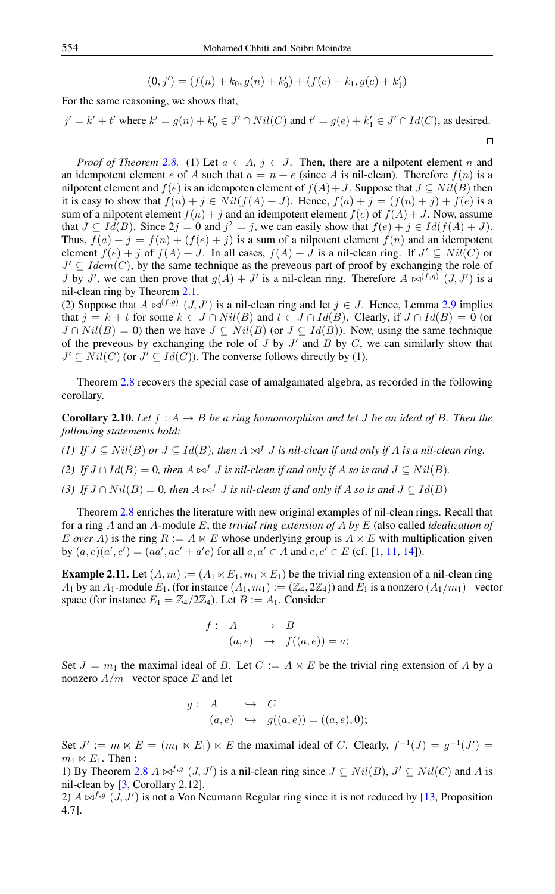$$
(0, j') = (f(n) + k_0, g(n) + k'_0) + (f(e) + k_1, g(e) + k'_1)
$$

For the same reasoning, we shows that,

$$
j' = k' + t'
$$
 where  $k' = g(n) + k'_0 \in J' \cap Nil(C)$  and  $t' = g(e) + k'_1 \in J' \cap Id(C)$ , as desired.

 $\Box$ 

*Proof of Theorem* [2.8.](#page-2-1) (1) Let  $a \in A$ ,  $j \in J$ . Then, there are a nilpotent element n and an idempotent element e of A such that  $a = n + e$  (since A is nil-clean). Therefore  $f(n)$  is a nilpotent element and  $f(e)$  is an idempoten element of  $f(A) + J$ . Suppose that  $J \subseteq Nil(B)$  then it is easy to show that  $f(n) + j \in Nil(f(A) + J)$ . Hence,  $f(a) + j = (f(n) + j) + f(e)$  is a sum of a nilpotent element  $f(n) + j$  and an idempotent element  $f(e)$  of  $f(A) + J$ . Now, assume that  $J \subseteq Id(B)$ . Since  $2j = 0$  and  $j^2 = j$ , we can easily show that  $f(e) + j \in Id(f(A) + J)$ . Thus,  $f(a) + j = f(n) + (f(e) + j)$  is a sum of a nilpotent element  $f(n)$  and an idempotent element  $f(e) + j$  of  $f(A) + J$ . In all cases,  $f(A) + J$  is a nil-clean ring. If  $J' \subseteq Nil(C)$  or  $J' \subseteq Idem(C)$ , by the same technique as the preveous part of proof by exchanging the role of *J* by *J'*, we can then prove that  $g(A) + J'$  is a nil-clean ring. Therefore  $A \bowtie^{(f,g)} (J, J')$  is a nil-clean ring by Theorem [2.1.](#page-1-0)

(2) Suppose that  $A \bowtie^{(f,g)} (J, J')$  is a nil-clean ring and let  $j \in J$ . Hence, Lemma [2.9](#page-2-2) implies that  $j = k + t$  for some  $k \in J \cap Nil(B)$  and  $t \in J \cap Id(B)$ . Clearly, if  $J \cap Id(B) = 0$  (or  $J \cap Nil(B) = 0$ ) then we have  $J \subseteq Nil(B)$  (or  $J \subseteq Id(B)$ ). Now, using the same technique of the preveous by exchanging the role of  $J$  by  $J'$  and  $B$  by  $C$ , we can similarly show that  $J' \subseteq Nil(C)$  (or  $J' \subseteq Id(C)$ ). The converse follows directly by (1).

Theorem [2.8](#page-2-1) recovers the special case of amalgamated algebra, as recorded in the following corollary.

**Corollary 2.10.** Let  $f : A \rightarrow B$  be a ring homomorphism and let J be an ideal of B. Then the *following statements hold:*

- *(1) If*  $J \subseteq Nil(B)$  *or*  $J \subseteq Id(B)$ *, then*  $A \bowtie^f J$  *is nil-clean if and only if*  $A$  *is a nil-clean ring.*
- *(2) If*  $J \cap Id(B) = 0$ , then  $A \bowtie^{f} J$  *is nil-clean if and only if*  $A$  *so is and*  $J \subseteq Nil(B)$ *.*
- *(3) If*  $J \cap Nil(B) = 0$ , then  $A \bowtie^{f} J$  *is nil-clean if and only if*  $A$  *so is and*  $J \subseteq Id(B)$

Theorem [2.8](#page-2-1) enriches the literature with new original examples of nil-clean rings. Recall that for a ring A and an A-module E, the *trivial ring extension of* A *by* E (also called *idealization of* E over A) is the ring  $R := A \ltimes E$  whose underlying group is  $A \times E$  with multiplication given by  $(a, e)(a', e') = (aa', ae' + a'e)$  for all  $a, a' \in A$  and  $e, e' \in E$  (cf. [\[1,](#page-9-6) [11,](#page-9-7) [14\]](#page-9-8)).

**Example 2.11.** Let  $(A, m) := (A_1 \ltimes E_1, m_1 \ltimes E_1)$  be the trivial ring extension of a nil-clean ring A<sub>1</sub> by an A<sub>1</sub>-module  $E_1$ , (for instance  $(A_1, m_1) := (\mathbb{Z}_4, 2\mathbb{Z}_4)$ ) and  $E_1$  is a nonzero  $(A_1/m_1)$ –vector space (for instance  $E_1 = \mathbb{Z}_4/2\mathbb{Z}_4$ ). Let  $B := A_1$ . Consider

$$
f: A \rightarrow B
$$
  
(a, e)  $\rightarrow f((a, e)) = a;$ 

Set  $J = m_1$  the maximal ideal of B. Let  $C := A \ltimes E$  be the trivial ring extension of A by a nonzero  $A/m$ –vector space E and let

$$
g: A \hookrightarrow C
$$
  

$$
(a, e) \hookrightarrow g((a, e)) = ((a, e), 0);
$$

Set  $J' := m \ltimes E = (m_1 \ltimes E_1) \ltimes E$  the maximal ideal of C. Clearly,  $f^{-1}(J) = g^{-1}(J')$  $m_1 \ltimes E_1$ . Then :

1) By Theorem [2.8](#page-2-1)  $A \bowtie^{f,g} (J, J')$  is a nil-clean ring since  $J \subseteq Nil(B), J' \subseteq Nil(C)$  and A is nil-clean by [\[3,](#page-9-5) Corollary 2.12].

2)  $A \bowtie^{f,g} (J, J')$  is not a Von Neumann Regular ring since it is not reduced by [\[13,](#page-9-4) Proposition 4.7].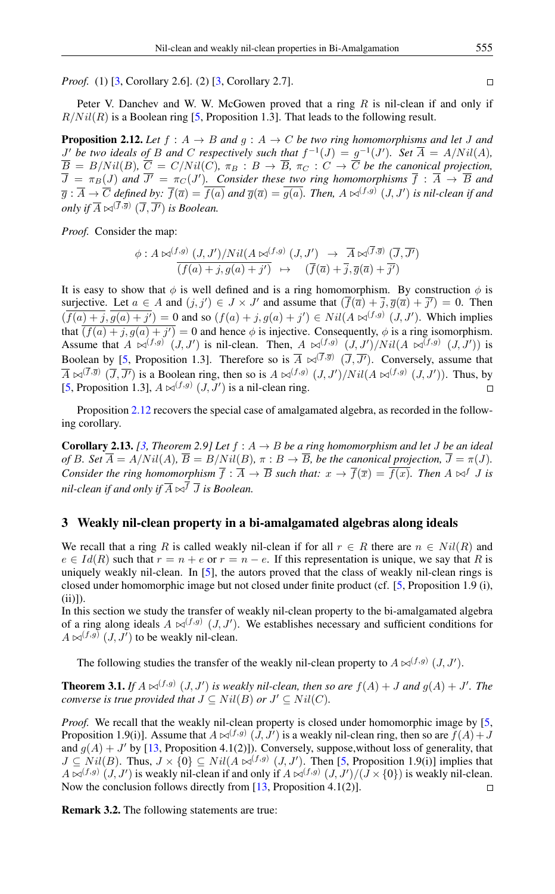*Proof.* (1) [\[3,](#page-9-5) Corollary 2.6]. (2) [3, Corollary 2.7].

Peter V. Danchev and W. W. McGowen proved that a ring  $R$  is nil-clean if and only if  $R/Nil(R)$  is a Boolean ring [\[5,](#page-9-3) Proposition 1.3]. That leads to the following result.

<span id="page-4-0"></span>**Proposition 2.12.** Let  $f : A \rightarrow B$  and  $g : A \rightarrow C$  be two ring homomorphisms and let J and  $J'$  be two ideals of B and C respectively such that  $f^{-1}(J) = g^{-1}(J')$ . Set  $\overline{A} = A/Nil(A)$ ,  $B = B/Nil(B)$ ,  $C = C/Nil(C)$ ,  $\pi_B : B \to B$ ,  $\pi_C : C \to C$  *be the canonical projection*,  $\overline{J} = \pi_B(J)$  and  $\overline{J'} = \pi_C(J')$ . Consider these two ring homomorphisms  $\overline{f}$  :  $\overline{A}$   $\rightarrow$   $\overline{B}$  and  $\overline{g}:\overline{A}\to\overline{C}$  defined by:  $\overline{f}(\overline{a})=f(a)$  and  $\overline{g}(\overline{a})=g(a).$  Then,  $A\Join^{(f,g)}(J,J')$  is nil-clean if and *only if*  $\overline{A} \Join^{(f,\overline{g})} (\overline{J}, \overline{J'})$  *is Boolean.* 

*Proof.* Consider the map:

$$
\begin{array}{rcl}\n\phi: A \bowtie^{(f,g)} (J, J')/Nil (A \bowtie^{(f,g)} (J, J') & \to & \overline{A} \bowtie^{(\overline{f}, \overline{g})} (\overline{J}, \overline{J'}) \\
\overline{(f(a) + j, g(a) + j')} & \mapsto & (\overline{f}(\overline{a}) + \overline{j}, \overline{g}(\overline{a}) + \overline{j'})\n\end{array}
$$

It is easy to show that  $\phi$  is well defined and is a ring homomorphism. By construction  $\phi$  is surjective. Let  $a \in A$  and  $(j, j') \in J \times J'$  and assume that  $(\overline{f}(\overline{a}) + \overline{j}, \overline{g}(\overline{a}) + \overline{j'}) = 0$ . Then  $(f(a)+j,g(a)+j')=0$  and so  $(f(a)+j,g(a)+j')\in Nil(A\bowtie^{(f,g)}(J,J')$ . Which implies that  $(f(a) + j, g(a) + j') = 0$  and hence  $\phi$  is injective. Consequently,  $\phi$  is a ring isomorphism. Assume that  $A \bowtie^{(f,g)} (J, J')$  is nil-clean. Then,  $A \bowtie^{(f,g)} (J, J')/Nil(A \bowtie^{(f,g)} (J, J'))$  is Boolean by [\[5,](#page-9-3) Proposition 1.3]. Therefore so is  $\overline{A} \bowtie^{(f,\overline{g})} (\overline{J}, \overline{J'})$ . Conversely, assume that  $\overline{A} \bowtie^{(f,\overline{g})} (\overline{J}, \overline{J'})$  is a Boolean ring, then so is  $A \bowtie^{(f,g)} (J,J')/Nil(A \bowtie^{(f,g)} (J,J'))$ . Thus, by [\[5,](#page-9-3) Proposition 1.3],  $A \bowtie^{(f,g)} (J, J')$  is a nil-clean ring.  $\Box$ 

Proposition [2.12](#page-4-0) recovers the special case of amalgamated algebra, as recorded in the following corollary.

**Corollary 2.13.** *[\[3,](#page-9-5) Theorem 2.9] Let*  $f : A \rightarrow B$  *be a ring homomorphism and let J be an ideal of* B. Set  $\overline{A} = A/Nil(A)$ ,  $\overline{B} = B/Nil(B)$ ,  $\pi : B \to \overline{B}$ , be the canonical projection,  $\overline{J} = \pi(J)$ . *Consider the ring homomorphism*  $\overline{f}$  :  $\overline{A}$   $\rightarrow$   $\overline{B}$  *such that:*  $x \rightarrow \overline{f}(\overline{x}) = \overline{f(x)}$ *. Then*  $A \Join^{f} J$  *is nil-clean if and only if*  $\overline{A} \Join^{\overline{f}} \overline{J}$  *is Boolean.* 

### 3 Weakly nil-clean property in a bi-amalgamated algebras along ideals

We recall that a ring R is called weakly nil-clean if for all  $r \in R$  there are  $n \in Nil(R)$  and  $e \in Id(R)$  such that  $r = n + e$  or  $r = n - e$ . If this representation is unique, we say that R is uniquely weakly nil-clean. In [\[5\]](#page-9-3), the autors proved that the class of weakly nil-clean rings is closed under homomorphic image but not closed under finite product (cf. [\[5,](#page-9-3) Proposition 1.9 (i),  $(ii)]$ ).

In this section we study the transfer of weakly nil-clean property to the bi-amalgamated algebra of a ring along ideals  $A \bowtie^{(f,g)} (J, J')$ . We establishes necessary and sufficient conditions for  $A \bowtie^{(f,g)} (J, J')$  to be weakly nil-clean.

The following studies the transfer of the weakly nil-clean property to  $A \bowtie^{(f,g)} (J, J')$ .

<span id="page-4-1"></span>**Theorem 3.1.** If  $A \bowtie^{(f,g)} (J, J')$  is weakly nil-clean, then so are  $f(A) + J$  and  $g(A) + J'$ . The *converse is true provided that*  $J \subseteq Nil(B)$  *or*  $J' \subseteq Nil(C)$ *.* 

*Proof.* We recall that the weakly nil-clean property is closed under homomorphic image by [\[5,](#page-9-3) Proposition 1.9(i)]. Assume that  $A \bowtie^{(f,g)} (J, J')$  is a weakly nil-clean ring, then so are  $f(A) + J$ and  $g(A) + J'$  by [\[13,](#page-9-4) Proposition 4.1(2)]). Conversely, suppose, without loss of generality, that  $J \subseteq Nil(B)$ . Thus,  $J \times \{0\} \subseteq Nil(A \bowtie^{(f,g)} (J, J')$ . Then [\[5,](#page-9-3) Proposition 1.9(i)] implies that  $A \bowtie^{(f,g)} (J, J')$  is weakly nil-clean if and only if  $A \bowtie^{(f,g)} (J, J')/(J \times \{0\})$  is weakly nil-clean. Now the conclusion follows directly from [\[13,](#page-9-4) Proposition 4.1(2)].  $\Box$ 

<span id="page-4-2"></span>Remark 3.2. The following statements are true:

 $\Box$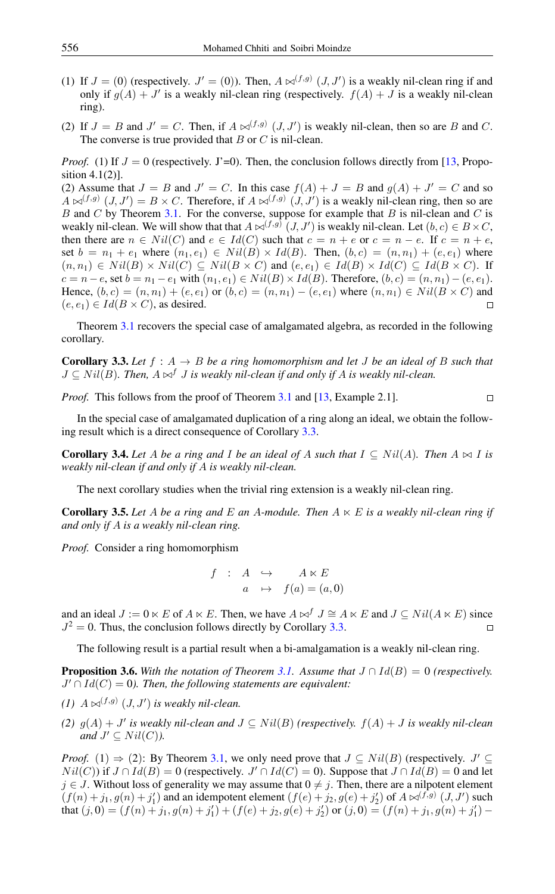- (1) If  $J = (0)$  (respectively.  $J' = (0)$ ). Then,  $A \bowtie^{(f,g)} (J, J')$  is a weakly nil-clean ring if and only if  $g(A) + J'$  is a weakly nil-clean ring (respectively.  $f(A) + J$  is a weakly nil-clean ring).
- (2) If  $J = B$  and  $J' = C$ . Then, if  $A \bowtie^{(f,g)} (J, J')$  is weakly nil-clean, then so are B and C. The converse is true provided that  $B$  or  $C$  is nil-clean.

*Proof.* (1) If  $J = 0$  (respectively. J'=0). Then, the conclusion follows directly from [\[13,](#page-9-4) Proposition 4.1(2)].

(2) Assume that  $J = B$  and  $J' = C$ . In this case  $f(A) + J = B$  and  $g(A) + J' = C$  and so  $A \bowtie^{(f,g)} (J, J') = B \times C$ . Therefore, if  $A \bowtie^{(f,g)} (J, J')$  is a weakly nil-clean ring, then so are B and C by Theorem [3.1.](#page-4-1) For the converse, suppose for example that B is nil-clean and C is weakly nil-clean. We will show that that  $A \bowtie^{(f,g)} (J, J')$  is weakly nil-clean. Let  $(b, c) \in B \times C$ , then there are  $n \in Nil(C)$  and  $e \in Id(C)$  such that  $c = n + e$  or  $c = n - e$ . If  $c = n + e$ , set  $b = n_1 + e_1$  where  $(n_1, e_1) \in Nil(B) \times Id(B)$ . Then,  $(b, c) = (n, n_1) + (e, e_1)$  where  $(n, n_1) \in Nil(B) \times Nil(C) \subseteq Nil(B \times C)$  and  $(e, e_1) \in Id(B) \times Id(C) \subseteq Id(B \times C)$ . If  $c = n - e$ , set  $b = n_1 - e_1$  with  $(n_1, e_1) \in Nil(B) \times Id(B)$ . Therefore,  $(b, c) = (n, n_1) - (e, e_1)$ . Hence,  $(b, c) = (n, n_1) + (e, e_1)$  or  $(b, c) = (n, n_1) - (e, e_1)$  where  $(n, n_1) \in Nil(B \times C)$  and  $(e, e_1) \in Id(B \times C)$ , as desired.  $\Box$ 

Theorem [3.1](#page-4-1) recovers the special case of amalgamated algebra, as recorded in the following corollary.

<span id="page-5-0"></span>**Corollary 3.3.** Let  $f : A \rightarrow B$  be a ring homomorphism and let J be an ideal of B such that  $J \subseteq Nil(B)$ . Then,  $A \bowtie^f J$  *is weakly nil-clean if and only if* A *is weakly nil-clean.* 

 $\Box$ 

*Proof.* This follows from the proof of Theorem [3.1](#page-4-1) and [\[13,](#page-9-4) Example 2.1].

In the special case of amalgamated duplication of a ring along an ideal, we obtain the following result which is a direct consequence of Corollary [3.3.](#page-5-0)

**Corollary 3.4.** Let A be a ring and I be an ideal of A such that  $I \subseteq Nil(A)$ . Then  $A \bowtie I$  is *weakly nil-clean if and only if* A *is weakly nil-clean.*

The next corollary studies when the trivial ring extension is a weakly nil-clean ring.

<span id="page-5-2"></span>**Corollary 3.5.** Let A be a ring and E an A-module. Then  $A \ltimes E$  is a weakly nil-clean ring if *and only if* A *is a weakly nil-clean ring.*

*Proof.* Consider a ring homomorphism

$$
f : A \hookrightarrow A \ltimes E
$$
  

$$
a \mapsto f(a) = (a, 0)
$$

and an ideal  $J := 0 \lt E$  of  $A \lt E$ . Then, we have  $A \bowtie^f J \cong A \ltimes E$  and  $J \subseteq Nil(A \ltimes E)$  since  $J^2 = 0$ . Thus, the conclusion follows directly by Corollary [3.3.](#page-5-0)  $\Box$ 

The following result is a partial result when a bi-amalgamation is a weakly nil-clean ring.

<span id="page-5-1"></span>**Proposition 3.6.** With the notation of Theorem [3.1.](#page-4-1) Assume that  $J \cap Id(B) = 0$  (respectively.  $J' \cap Id(C) = 0$ ). Then, the following statements are equivalent:

- (1)  $A \bowtie^{(f,g)} (J, J')$  is weakly nil-clean.
- *(2)*  $g(A)$  + J' is weakly nil-clean and  $J ⊆ Nil(B)$  *(respectively.*  $f(A)$  + J is weakly nil-clean *and*  $J' \subseteq Nil(C)$ *).*

*Proof.* (1)  $\Rightarrow$  (2): By Theorem [3.1,](#page-4-1) we only need prove that  $J \subseteq Nil(B)$  (respectively.  $J' \subseteq$  $Nil(C))$  if  $J \cap Id(B) = 0$  (respectively.  $J' \cap Id(C) = 0$ ). Suppose that  $J \cap Id(B) = 0$  and let  $j \in J$ . Without loss of generality we may assume that  $0 \neq j$ . Then, there are a nilpotent element  $(f(n) + j_1, g(n) + j'_1)$  and an idempotent element  $(f(e) + j_2, g(e) + j'_2)$  of  $A \bowtie^{(f,g)} (J, J')$  such that  $(j, 0) = (f(n) + j_1, g(n) + j'_1) + (f(e) + j_2, g(e) + j'_2)$  or  $(j, 0) = (f(n) + j_1, g(n) + j'_1)$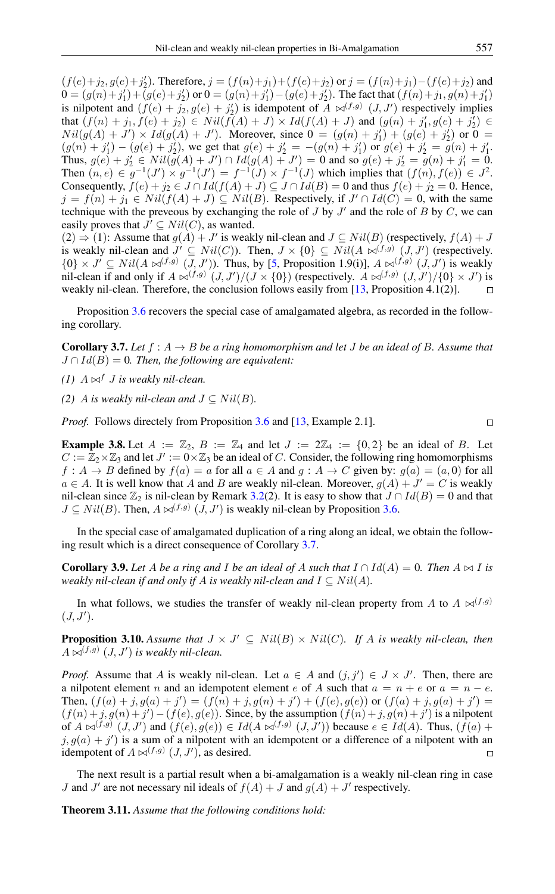$(f(e)+j_2, g(e)+j'_2)$ . Therefore,  $j = (f(n)+j_1) + (f(e)+j_2)$  or  $j = (f(n)+j_1) - (f(e)+j_2)$  and  $0 = (g(n)+j'_1) + (g(e)+j'_2)$  or  $0 = (g(n)+j'_1) - (g(e)+j'_2)$ . The fact that  $(f(n)+j_1, g(n)+j'_1)$ is nilpotent and  $(f(e) + j_2, g(e) + j'_2)$  is idempotent of  $A \bowtie^{(f,g)} (J, J')$  respectively implies that  $(f(n) + j_1, f(e) + j_2) \in Nil(f(A) + J) \times Id(f(A) + J)$  and  $(g(n) + j'_1, g(e) + j'_2) \in$  $Nil(g(A) + J') \times Id(g(A) + J')$ . Moreover, since  $0 = (g(n) + j'_1) + (g(e) + j'_2)$  or  $0 =$  $(g(n) + j'_1) - (g(e) + j'_2)$ , we get that  $g(e) + j'_2 = -(g(n) + j'_1)$  or  $g(e) + j'_2 = g(n) + j'_1$ . Thus,  $g(e) + j'_{2} \in Nil(g(A) + J') \cap Id(g(A) + J') = 0$  and so  $g(e) + j'_{2} = g(n) + j'_{1} = 0$ . Then  $(n, e) \in g^{-1}(J') \times g^{-1}(J') = f^{-1}(J) \times f^{-1}(J)$  which implies that  $(f(n), f(e)) \in J^2$ . Consequently,  $f(e) + j_2 \in J \cap Id(f(A) + J) \subseteq J \cap Id(B) = 0$  and thus  $f(e) + j_2 = 0$ . Hence,  $j = f(n) + j_1 \in Nil(f(A) + J) \subseteq Nil(B)$ . Respectively, if  $J' \cap Id(C) = 0$ , with the same technique with the preveous by exchanging the role of  $J$  by  $J'$  and the role of  $B$  by  $C$ , we can easily proves that  $J' \subseteq Nil(C)$ , as wanted.

 $(2) \Rightarrow (1)$ : Assume that  $g(A) + J'$  is weakly nil-clean and  $J \subseteq Nil(B)$  (respectively,  $f(A) + J$ is weakly nil-clean and  $J' \subseteq Nil(C)$ ). Then,  $J \times \{0\} \subseteq Nil(A \bowtie^{(f,g)} (J, J'))$  (respectively.  $\{0\} \times J' \subseteq Nil(A \bowtie^{(f,g)} (J, J'))$ . Thus, by [\[5,](#page-9-3) Proposition 1.9(i)],  $A \bowtie^{(f,g)} (J, J')$  is weakly nil-clean if and only if  $A \bowtie^{(f,g)} (J, J')/(J \times \{0\})$  (respectively.  $A \bowtie^{(f,g)} (J, J')/\{0\} \times J'$ ) is weakly nil-clean. Therefore, the conclusion follows easily from [\[13,](#page-9-4) Proposition 4.1(2)].  $\Box$ 

Proposition [3.6](#page-5-1) recovers the special case of amalgamated algebra, as recorded in the following corollary.

<span id="page-6-0"></span>**Corollary 3.7.** Let  $f : A \rightarrow B$  be a ring homomorphism and let J be an ideal of B. Assume that  $J \cap Id(B) = 0$ . Then, the following are equivalent:

- *(1)*  $A \Join^f J$  *is weakly nil-clean.*
- *(2)* A *is weakly nil-clean and*  $J \subseteq Nil(B)$ .

*Proof.* Follows directely from Proposition [3.6](#page-5-1) and [\[13,](#page-9-4) Example 2.1].

**Example 3.8.** Let  $A := \mathbb{Z}_2$ ,  $B := \mathbb{Z}_4$  and let  $J := 2\mathbb{Z}_4 := \{0,2\}$  be an ideal of B. Let  $C := \mathbb{Z}_2 \times \mathbb{Z}_3$  and let  $J' := 0 \times \mathbb{Z}_3$  be an ideal of C. Consider, the following ring homomorphisms  $f: A \to B$  defined by  $f(a) = a$  for all  $a \in A$  and  $g: A \to C$  given by:  $g(a) = (a, 0)$  for all  $a \in A$ . It is well know that A and B are weakly nil-clean. Moreover,  $g(A) + J' = C$  is weakly nil-clean since  $\mathbb{Z}_2$  is nil-clean by Remark [3.2\(](#page-4-2)2). It is easy to show that  $J \cap Id(B) = 0$  and that  $J \subseteq Nil(B)$ . Then,  $A \bowtie^{(f,g)} (J, J')$  is weakly nil-clean by Proposition [3.6.](#page-5-1)

In the special case of amalgamated duplication of a ring along an ideal, we obtain the following result which is a direct consequence of Corollary [3.7.](#page-6-0)

**Corollary 3.9.** Let A be a ring and I be an ideal of A such that  $I \cap Id(A) = 0$ . Then  $A \bowtie I$  is *weakly nil-clean if and only if A is weakly nil-clean and*  $I \subseteq Nil(A)$ *.* 

In what follows, we studies the transfer of weakly nil-clean property from A to  $A \bowtie^{(f,g)}$  $(J, J').$ 

**Proposition 3.10.** Assume that  $J \times J' \subseteq Nil(B) \times Nil(C)$ . If A is weakly nil-clean, then  $A \Join^{(f,g)} (J, J')$  is weakly nil-clean.

*Proof.* Assume that A is weakly nil-clean. Let  $a \in A$  and  $(j, j') \in J \times J'$ . Then, there are a nilpotent element n and an idempotent element e of A such that  $a = n + e$  or  $a = n - e$ . Then,  $(f(a) + j, g(a) + j') = (f(n) + j, g(n) + j') + (f(e), g(e))$  or  $(f(a) + j, g(a) + j') =$  $(f(n)+j, g(n)+j') - (f(e), g(e))$ . Since, by the assumption  $(f(n)+j, g(n)+j')$  is a nilpotent of  $A \bowtie^{(f,g)} (J, J')$  and  $(f(e), g(e)) \in Id(A \bowtie^{(f,g)} (J, J'))$  because  $e \in Id(A)$ . Thus,  $(f(a) +$  $j, g(a) + j'$  is a sum of a nilpotent with an idempotent or a difference of a nilpotent with an idempotent of  $A \bowtie^{(f,g)} (J, J')$ , as desired.

The next result is a partial result when a bi-amalgamation is a weakly nil-clean ring in case *J* and *J'* are not necessary nil ideals of  $f(A) + J$  and  $g(A) + J'$  respectively.

<span id="page-6-1"></span>Theorem 3.11. *Assume that the following conditions hold:*

 $\Box$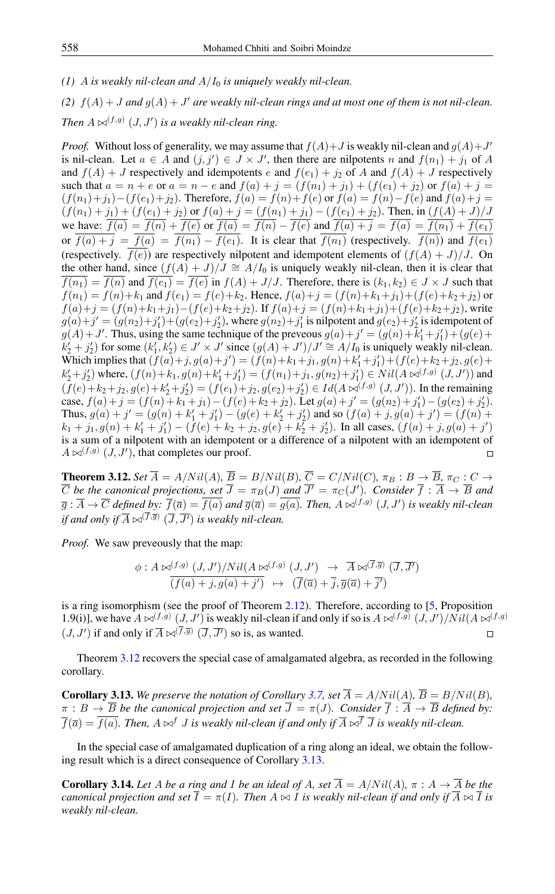*(1)* A *is weakly nil-clean and*  $A/I_0$  *is uniquely weakly nil-clean.* 

(2)  $f(A) + J$  *and*  $g(A) + J'$  are weakly nil-clean rings and at most one of them is not nil-clean. *Then*  $A \Join^{(f,g)} (J, J')$  *is a weakly nil-clean ring.* 

*Proof.* Without loss of generality, we may assume that  $f(A) + J$  is weakly nil-clean and  $g(A) + J'$ is nil-clean. Let  $a \in A$  and  $(j, j') \in J \times J'$ , then there are nilpotents n and  $f(n_1) + j_1$  of A and  $f(A) + J$  respectively and idempotents e and  $f(e_1) + j_2$  of A and  $f(A) + J$  respectively such that  $a = n + e$  or  $a = n - e$  and  $f(a) + j = (f(n_1) + j_1) + (f(e_1) + j_2)$  or  $f(a) + j =$  $(f(n_1)+j_1)-(f(e_1)+j_2)$ . Therefore,  $f(a) = f(n)+f(e)$  or  $f(a) = f(n)-f(e)$  and  $f(a)+j = f(a)$  $(f(n_1) + j_1) + (f(e_1) + j_2)$  or  $f(a) + j = (f(n_1) + j_1) - (f(e_1) + j_2)$ . Then, in  $(f(A) + J)/J$ we have:  $f(a) = f(n) + f(e)$  or  $f(a) = f(n) - f(e)$  and  $f(a) + j = f(a) = f(n_1) + f(e_1)$ or  $\overline{f(a)+j} = \overline{f(a)} = \overline{f(n_1)} - \overline{f(e_1)}$ . It is clear that  $\overline{f(n_1)}$  (respectively.  $\overline{f(n)}$ ) and  $\overline{f(e_1)}$ (respectively.  $\overline{f(e)}$ ) are respectively nilpotent and idempotent elements of  $(f(A) + J)/J$ . On the other hand, since  $(f(A) + J)/J \cong A/I_0$  is uniquely weakly nil-clean, then it is clear that  $f(n_1) = f(n)$  and  $f(e_1) = f(e)$  in  $f(A) + J/J$ . Therefore, there is  $(k_1, k_2) \in J \times J$  such that  $f(n_1) = f(n) + k_1$  and  $f(e_1) = f(e) + k_2$ . Hence,  $f(a) + j = (f(n) + k_1 + j_1) + (f(e) + k_2 + j_2)$  or  $f(a)+j = (f(n)+k_1+j_1)-(f(e)+k_2+j_2)$ . If  $f(a)+j = (f(n)+k_1+j_1)+(f(e)+k_2+j_2)$ , write  $g(a)+j' = (g(n_2)+j'_1)+(g(e_2)+j'_2)$ , where  $g(n_2)+j'_1$  is nilpotent and  $g(e_2)+j'_2$  is idempotent of  $g(A) + J'$ . Thus, using the same technique of the preveous  $g(a) + j' = (g(n) + k'_1 + j'_1) + (g(e) + j')$  $k'_2 + j'_2$ ) for some  $(k'_1, k'_2) \in J' \times J'$  since  $(g(A) + J')/J' \cong A/I_0$  is uniquely weakly nil-clean. Which implies that  $(f(a)+j, g(a)+j') = (f(n)+k_1+j_1, g(n)+k'_1+j'_1) + (f(e)+k_2+j_2, g(e)+j'_2)$  $k'_2+j'_2$ ) where,  $(f(n)+k_1,g(n)+k'_1+j'_1) = (f(n_1)+j_1,g(n_2)+j'_1) \in Nil(A \bowtie^{(f,g)} (J,J'))$  and  $(f(e)+k_2+j_2,g(e)+k'_2+j'_2)=(f(e_1)+j_2,g(e_2)+j'_2)\in Id(A\bowtie^{(f,g)}(J,J'))$ . In the remaining case,  $f(a) + j = (f(n) + k_1 + j_1) - (f(e) + k_2 + j_2)$ . Let  $g(a) + j' = (g(n_2) + j'_1) - (g(e_2) + j'_2)$ . Thus,  $g(a) + j' = (g(n) + k'_1 + j'_1) - (g(e) + k'_2 + j'_2)$  and so  $(f(a) + j, g(a) + j') = (f(n) + j')$  $k_1 + j_1, g(n) + k'_1 + j'_1) - (f(e) + k_2 + j_2, g(e) + k'_2 + j'_2)$ . In all cases,  $(f(a) + j, g(a) + j')$ is a sum of a nilpotent with an idempotent or a difference of a nilpotent with an idempotent of  $A \bowtie^{(f,g)} (J, J')$ , that completes our proof.  $\Box$ 

<span id="page-7-0"></span>**Theorem 3.12.** *Set*  $\overline{A} = A/Nil(A)$ *,*  $\overline{B} = B/Nil(B)$ *,*  $\overline{C} = C/Nil(C)$ *,*  $\pi_B : B \to \overline{B}$ *,*  $\pi_C : C \to C$  $\overline{C}$  be the canonical projections, set  $\overline{J} = \pi_B(J)$  and  $\overline{J'} = \pi_C(J')$ . Consider  $\overline{f} : \overline{A} \to \overline{B}$  and  $\overline{g}:\overline{A}\to\overline{C}$  defined by:  $\overline{f}(\overline{a})=\overline{f(a)}$  and  $\overline{g}(\overline{a})=\overline{g(a)}.$  Then,  $A\Join^{(f,g)}(J,J')$  is weakly nil-clean if and only if  $\overline{A}\Join^{(f,\overline{g})}(\overline{J},\overline{J'})$  is weakly nil-clean.

*Proof.* We saw preveously that the map:

$$
\phi: A \bowtie^{(f,g)} (J, J')/Nil (A \bowtie^{(f,g)} (J, J') \rightarrow \overline{A} \bowtie^{(\overline{f}, \overline{g})} (\overline{J}, \overline{J'})
$$
  

$$
\overline{(f(a) + j, g(a) + j')} \mapsto (\overline{f}(\overline{a}) + \overline{j}, \overline{g}(\overline{a}) + \overline{j'})
$$

is a ring isomorphism (see the proof of Theorem [2.12\)](#page-4-0). Therefore, according to [\[5,](#page-9-3) Proposition 1.9(i)], we have  $A \bowtie^{(f,g)} (J, J')$  is weakly nil-clean if and only if so is  $A \bowtie^{(f,g)} (J, J')/Nil (A \bowtie^{(f,g)} I')$  $(J, J')$  if and only if  $\overline{A} \Join^{(f, \overline{g})} (\overline{J}, \overline{J'})$  so is, as wanted.

Theorem [3.12](#page-7-0) recovers the special case of amalgamated algebra, as recorded in the following corollary.

<span id="page-7-1"></span>**Corollary 3.13.** We preserve the notation of Corollary [3.7,](#page-6-0) set  $\overline{A} = A/Nil(A)$ ,  $\overline{B} = B/Nil(B)$ ,  $\pi : B \to \overline{B}$  *be the canonical projection and set*  $\overline{J} = \pi(J)$ *. Consider*  $\overline{f} : \overline{A} \to \overline{B}$  *defined by:*  $\overline{f}(\overline{a}) = \overline{f(a)}$ . Then,  $A \bowtie^f J$  *is weakly nil-clean if and only if*  $\overline{A} \bowtie^f \overline{J}$  *is weakly nil-clean.* 

In the special case of amalgamated duplication of a ring along an ideal, we obtain the following result which is a direct consequence of Corollary [3.13.](#page-7-1)

**Corollary 3.14.** Let A be a ring and I be an ideal of A, set  $\overline{A} = A/Nil(A)$ ,  $\pi : A \rightarrow \overline{A}$  be the *canonical projection and set*  $\overline{I} = \pi(I)$ *. Then*  $A \bowtie I$  *is weakly nil-clean if and only if*  $\overline{A} \bowtie \overline{I}$  *is weakly nil-clean.*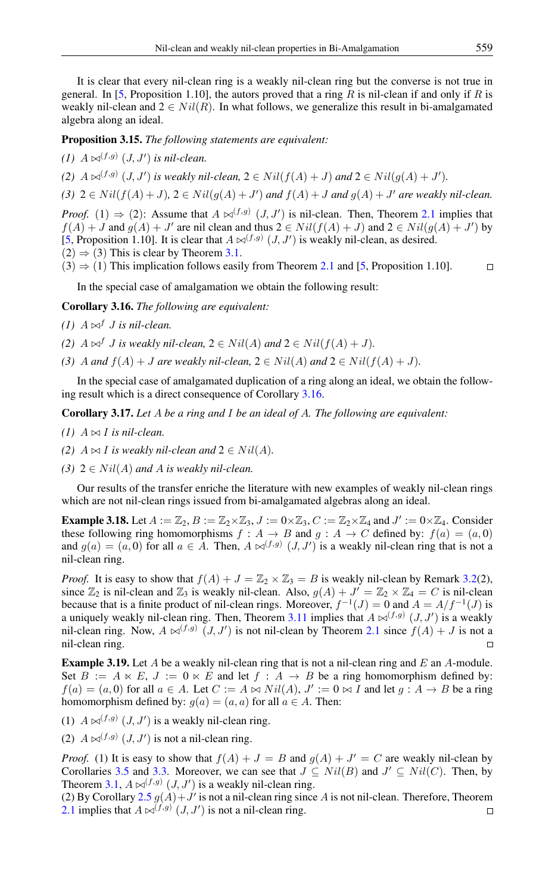It is clear that every nil-clean ring is a weakly nil-clean ring but the converse is not true in general. In [\[5,](#page-9-3) Proposition 1.10], the autors proved that a ring R is nil-clean if and only if R is weakly nil-clean and  $2 \in Nil(R)$ . In what follows, we generalize this result in bi-amalgamated algebra along an ideal.

Proposition 3.15. *The following statements are equivalent:*

 $(1)$   $A \Join^{(f,g)} (J, J')$  *is nil-clean.* 

(2)  $A \bowtie^{(f,g)} (J, J')$  is weakly nil-clean,  $2 \in Nil(f(A) + J)$  and  $2 \in Nil(g(A) + J')$ .

(3)  $2 \in Nil(f(A)+J), 2 \in Nil(g(A)+J')$  and  $f(A)+J$  and  $g(A)+J'$  are weakly nil-clean.

*Proof.* (1)  $\Rightarrow$  (2): Assume that  $A \Join^{(f,g)} (J, J')$  is nil-clean. Then, Theorem [2.1](#page-1-0) implies that  $f(A) + J$  and  $g(A) + J'$  are nil clean and thus  $2 \in Nil(f(A) + J)$  and  $2 \in Nil(g(A) + J')$  by [\[5,](#page-9-3) Proposition 1.10]. It is clear that  $A \bowtie^{(f,g)} (J, J')$  is weakly nil-clean, as desired.  $(2) \Rightarrow (3)$  This is clear by Theorem [3.1.](#page-4-1)

 $(3) \Rightarrow (1)$  This implication follows easily from Theorem [2.1](#page-1-0) and [\[5,](#page-9-3) Proposition 1.10].  $\Box$ 

In the special case of amalgamation we obtain the following result:

<span id="page-8-0"></span>Corollary 3.16. *The following are equivalent:*

- *(1)*  $A \bowtie^{f} J$  *is nil-clean.*
- *(2)*  $A \bowtie^f J$  *is weakly nil-clean,*  $2 \in Nil(A)$  *and*  $2 \in Nil(f(A) + J)$ *.*
- *(3)* A and  $f(A) + J$  are weakly nil-clean,  $2 \in Nil(A)$  and  $2 \in Nil(f(A) + J)$ .

In the special case of amalgamated duplication of a ring along an ideal, we obtain the following result which is a direct consequence of Corollary [3.16.](#page-8-0)

Corollary 3.17. *Let* A *be a ring and* I *be an ideal of* A*. The following are equivalent:*

- *(1)*  $A \bowtie I$  *is nil-clean.*
- *(2)*  $A \bowtie I$  *is weakly nil-clean and*  $2 \in Nil(A)$ *.*
- *(3)*  $2 \in Nil(A)$  *and A is weakly nil-clean.*

Our results of the transfer enriche the literature with new examples of weakly nil-clean rings which are not nil-clean rings issued from bi-amalgamated algebras along an ideal.

**Example 3.18.** Let  $A := \mathbb{Z}_2$ ,  $B := \mathbb{Z}_2 \times \mathbb{Z}_3$ ,  $J := 0 \times \mathbb{Z}_3$ ,  $C := \mathbb{Z}_2 \times \mathbb{Z}_4$  and  $J' := 0 \times \mathbb{Z}_4$ . Consider these following ring homomorphisms  $f : A \rightarrow B$  and  $g : A \rightarrow C$  defined by:  $f(a) = (a, 0)$ and  $g(a) = (a, 0)$  for all  $a \in A$ . Then,  $A \bowtie^{(f,g)} (J, J')$  is a weakly nil-clean ring that is not a nil-clean ring.

*Proof.* It is easy to show that  $f(A) + J = \mathbb{Z}_2 \times \mathbb{Z}_3 = B$  is weakly nil-clean by Remark [3.2\(](#page-4-2)2), since  $\mathbb{Z}_2$  is nil-clean and  $\mathbb{Z}_3$  is weakly nil-clean. Also,  $g(A) + J' = \mathbb{Z}_2 \times \mathbb{Z}_4 = C$  is nil-clean because that is a finite product of nil-clean rings. Moreover,  $f^{-1}(J) = 0$  and  $A = A/f^{-1}(J)$  is a uniquely weakly nil-clean ring. Then, Theorem [3.11](#page-6-1) implies that  $A \bowtie^{(f,g)} (J, J')$  is a weakly nil-clean ring. Now,  $A \bowtie^{(f,g)} (J, J')$  is not nil-clean by Theorem [2.1](#page-1-0) since  $f(A) + J$  is not a nil-clean ring.  $\Box$ 

**Example 3.19.** Let A be a weakly nil-clean ring that is not a nil-clean ring and E an A-module. Set  $B := A \ltimes E$ ,  $J := 0 \ltimes E$  and let  $f : A \to B$  be a ring homomorphism defined by:  $f(a) = (a, 0)$  for all  $a \in A$ . Let  $C := A \bowtie Nil(A), J' := 0 \bowtie I$  and let  $g : A \to B$  be a ring homomorphism defined by:  $g(a) = (a, a)$  for all  $a \in A$ . Then:

- (1)  $A \bowtie^{(f,g)} (J, J')$  is a weakly nil-clean ring.
- (2)  $A \bowtie^{(f,g)} (J, J')$  is not a nil-clean ring.

*Proof.* (1) It is easy to show that  $f(A) + J = B$  and  $g(A) + J' = C$  are weakly nil-clean by Corollaries [3.5](#page-5-2) and [3.3.](#page-5-0) Moreover, we can see that  $J \subseteq Nil(B)$  and  $J' \subseteq Nil(C)$ . Then, by Theorem [3.1,](#page-4-1)  $A \bowtie^{(f,g)} (J, J')$  is a weakly nil-clean ring.

(2) By Corollary  $2.5 g(A) + J'$  $2.5 g(A) + J'$  is not a nil-clean ring since A is not nil-clean. Therefore, Theorem [2.1](#page-1-0) implies that  $A \bowtie^{(f,g)} (J, J')$  is not a nil-clean ring.  $\Box$